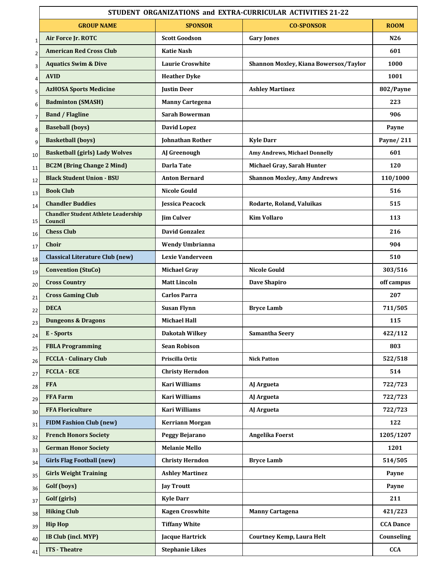|                | STUDENT ORGANIZATIONS and EXTRA-CURRICULAR ACTIVITIES 21-22 |                         |                                       |                  |  |  |
|----------------|-------------------------------------------------------------|-------------------------|---------------------------------------|------------------|--|--|
|                | <b>GROUP NAME</b>                                           | <b>SPONSOR</b>          | <b>CO-SPONSOR</b>                     | <b>ROOM</b>      |  |  |
| 1              | Air Force Jr. ROTC                                          | <b>Scott Goodson</b>    | <b>Gary Jones</b>                     | N <sub>26</sub>  |  |  |
| $\overline{2}$ | <b>American Red Cross Club</b>                              | <b>Katie Nash</b>       |                                       | 601              |  |  |
| 3              | <b>Aquatics Swim &amp; Dive</b>                             | <b>Laurie Croswhite</b> | Shannon Moxley, Kiana Bowersox/Taylor | 1000             |  |  |
| 4              | <b>AVID</b>                                                 | <b>Heather Dyke</b>     |                                       | 1001             |  |  |
| 5              | <b>AzHOSA Sports Medicine</b>                               | <b>Justin Deer</b>      | <b>Ashley Martinez</b>                | 802/Payne        |  |  |
| 6              | <b>Badminton (SMASH)</b>                                    | <b>Manny Cartegena</b>  |                                       | 223              |  |  |
| 7              | <b>Band / Flagline</b>                                      | <b>Sarah Bowerman</b>   |                                       | 906              |  |  |
| 8              | <b>Baseball (boys)</b>                                      | <b>David Lopez</b>      |                                       | Payne            |  |  |
| 9              | <b>Basketball (boys)</b>                                    | <b>Johnathan Rother</b> | <b>Kyle Darr</b>                      | <b>Payne/211</b> |  |  |
| 10             | <b>Basketball (girls) Lady Wolves</b>                       | AJ Greenough            | Amy Andrews, Michael Donnelly         | 601              |  |  |
| 11             | <b>BC2M (Bring Change 2 Mind)</b>                           | <b>Darla Tate</b>       | Michael Gray, Sarah Hunter            | 120              |  |  |
| 12             | <b>Black Student Union - BSU</b>                            | <b>Anton Bernard</b>    | <b>Shannon Moxley, Amy Andrews</b>    | 110/1000         |  |  |
| 13             | <b>Book Club</b>                                            | <b>Nicole Gould</b>     |                                       | 516              |  |  |
| 14             | <b>Chandler Buddies</b>                                     | <b>Jessica Peacock</b>  | Rodarte, Roland, Valuikas             | 515              |  |  |
| 15             | <b>Chandler Student Athlete Leadership</b><br>Council       | <b>Jim Culver</b>       | <b>Kim Vollaro</b>                    | 113              |  |  |
| 16             | <b>Chess Club</b>                                           | <b>David Gonzalez</b>   |                                       | 216              |  |  |
| 17             | Choir                                                       | <b>Wendy Umbrianna</b>  |                                       | 904              |  |  |
| 18             | <b>Classical Literature Club (new)</b>                      | <b>Lexie Vanderveen</b> |                                       | 510              |  |  |
| 19             | <b>Convention (StuCo)</b>                                   | <b>Michael Gray</b>     | <b>Nicole Gould</b>                   | 303/516          |  |  |
| 20             | <b>Cross Country</b>                                        | <b>Matt Lincoln</b>     | <b>Dave Shapiro</b>                   | off campus       |  |  |
| 21             | <b>Cross Gaming Club</b>                                    | <b>Carlos Parra</b>     |                                       | 207              |  |  |
| 22             | <b>DECA</b>                                                 | <b>Susan Flynn</b>      | <b>Bryce Lamb</b>                     | 711/505          |  |  |
| 23             | <b>Dungeons &amp; Dragons</b>                               | <b>Michael Hall</b>     |                                       | 115              |  |  |
| 24             | E - Sports                                                  | <b>Dakotah Wilkey</b>   | <b>Samantha Seery</b>                 | 422/112          |  |  |
| 25             | <b>FBLA Programming</b>                                     | <b>Sean Robison</b>     |                                       | 803              |  |  |
| 26             | <b>FCCLA - Culinary Club</b>                                | Priscilla Ortiz         | <b>Nick Patton</b>                    | 522/518          |  |  |
| 27             | <b>FCCLA - ECE</b>                                          | <b>Christy Herndon</b>  |                                       | 514              |  |  |
| 28             | <b>FFA</b>                                                  | <b>Kari Williams</b>    | AJ Argueta                            | 722/723          |  |  |
| 29             | <b>FFA Farm</b>                                             | <b>Kari Williams</b>    | AJ Argueta                            | 722/723          |  |  |
| 30             | <b>FFA Floriculture</b>                                     | <b>Kari Williams</b>    | AJ Argueta                            | 722/723          |  |  |
| 31             | <b>FIDM Fashion Club (new)</b>                              | <b>Kerriann Morgan</b>  |                                       | 122              |  |  |
| 32             | <b>French Honors Society</b>                                | Peggy Bejarano          | <b>Angelika Foerst</b>                | 1205/1207        |  |  |
| 33             | <b>German Honor Society</b>                                 | <b>Melanie Mello</b>    |                                       | 1201             |  |  |
| 34             | <b>Girls Flag Football (new)</b>                            | <b>Christy Herndon</b>  | <b>Bryce Lamb</b>                     | 514/505          |  |  |
| 35             | <b>Girls Weight Training</b>                                | <b>Ashley Martinez</b>  |                                       | Payne            |  |  |
| 36             | Golf (boys)                                                 | <b>Jay Troutt</b>       |                                       | Payne            |  |  |
| 37             | Golf (girls)                                                | <b>Kyle Darr</b>        |                                       | 211              |  |  |
| 38             | <b>Hiking Club</b>                                          | <b>Kagen Croswhite</b>  | <b>Manny Cartagena</b>                | 421/223          |  |  |
| 39             | <b>Hip Hop</b>                                              | <b>Tiffany White</b>    |                                       | <b>CCA</b> Dance |  |  |
| 40             | IB Club (incl. MYP)                                         | <b>Jacque Hartrick</b>  | <b>Courtney Kemp, Laura Helt</b>      | Counseling       |  |  |
| 41             | <b>ITS</b> - Theatre                                        | <b>Stephanie Likes</b>  |                                       | <b>CCA</b>       |  |  |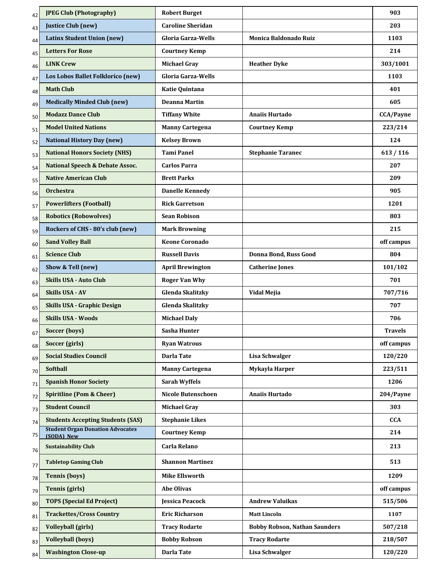| 42 | <b>JPEG Club (Photography)</b>                        | <b>Robert Burget</b>      |                                      | 903              |
|----|-------------------------------------------------------|---------------------------|--------------------------------------|------------------|
| 43 | <b>Justice Club (new)</b>                             | <b>Caroline Sheridan</b>  |                                      | 203              |
| 44 | <b>Latinx Student Union (new)</b>                     | <b>Gloria Garza-Wells</b> | <b>Monica Baldonado Ruiz</b>         | 1103             |
| 45 | <b>Letters For Rose</b>                               | <b>Courtney Kemp</b>      |                                      | 214              |
| 46 | <b>LINK Crew</b>                                      | <b>Michael Gray</b>       | <b>Heather Dyke</b>                  | 303/1001         |
| 47 | Los Lobos Ballet Folklorico (new)                     | <b>Gloria Garza-Wells</b> |                                      | 1103             |
| 48 | <b>Math Club</b>                                      | Katie Quintana            |                                      | 401              |
| 49 | <b>Medically Minded Club (new)</b>                    | <b>Deanna Martin</b>      |                                      | 605              |
| 50 | <b>Modazz Dance Club</b>                              | <b>Tiffany White</b>      | <b>Anaiis Hurtado</b>                | <b>CCA/Payne</b> |
| 51 | <b>Model United Nations</b>                           | <b>Manny Cartegena</b>    | <b>Courtney Kemp</b>                 | 223/214          |
| 52 | <b>National History Day (new)</b>                     | <b>Kelsey Brown</b>       |                                      | 124              |
| 53 | <b>National Honors Society (NHS)</b>                  | <b>Tami Panel</b>         | <b>Stephanie Taranec</b>             | 613/116          |
| 54 | National Speech & Debate Assoc.                       | <b>Carlos Parra</b>       |                                      | 207              |
| 55 | <b>Native American Club</b>                           | <b>Brett Parks</b>        |                                      | 209              |
| 56 | <b>Orchestra</b>                                      | <b>Danelle Kennedy</b>    |                                      | 905              |
| 57 | <b>Powerlifters (Football)</b>                        | <b>Rick Garretson</b>     |                                      | 1201             |
| 58 | <b>Robotics (Robowolves)</b>                          | <b>Sean Robison</b>       |                                      | 803              |
| 59 | Rockers of CHS - 80's club (new)                      | <b>Mark Browning</b>      |                                      | 215              |
| 60 | <b>Sand Volley Ball</b>                               | <b>Keone Coronado</b>     |                                      | off campus       |
| 61 | <b>Science Club</b>                                   | <b>Russell Davis</b>      | Donna Bond, Russ Good                | 804              |
| 62 | Show & Tell (new)                                     | <b>April Brewington</b>   | <b>Catherine Jones</b>               | 101/102          |
| 63 | <b>Skills USA - Auto Club</b>                         | <b>Roger Van Why</b>      |                                      | 701              |
| 64 | <b>Skills USA - AV</b>                                | <b>Glenda Skalitzky</b>   | Vidal Mejia                          | 707/716          |
| 65 | <b>Skills USA - Graphic Design</b>                    | <b>Glenda Skalitzky</b>   |                                      | 707              |
| 66 | <b>Skills USA - Woods</b>                             | <b>Michael Daly</b>       |                                      | 706              |
| 67 | Soccer (boys)                                         | Sasha Hunter              |                                      | <b>Travels</b>   |
| 68 | Soccer (girls)                                        | <b>Ryan Watrous</b>       |                                      | off campus       |
| 69 | <b>Social Studies Council</b>                         | Darla Tate                | <b>Lisa Schwalger</b>                | 120/220          |
| 70 | <b>Softball</b>                                       | <b>Manny Cartegena</b>    | Mykayla Harper                       | 223/511          |
| 71 | <b>Spanish Honor Society</b>                          | <b>Sarah Wyffels</b>      |                                      | 1206             |
| 72 | <b>Spiritline (Pom &amp; Cheer)</b>                   | <b>Nicole Butenschoen</b> | <b>Anaiis Hurtado</b>                | 204/Payne        |
| 73 | <b>Student Council</b>                                | <b>Michael Gray</b>       |                                      | 303              |
| 74 | <b>Students Accepting Students (SAS)</b>              | <b>Stephanie Likes</b>    |                                      | <b>CCA</b>       |
| 75 | <b>Student Organ Donation Advocates</b><br>(SODA) New | <b>Courtney Kemp</b>      |                                      | 214              |
| 76 | <b>Sustainability Club</b>                            | Carla Relano              |                                      | 213              |
| 77 | <b>Tabletop Gaming Club</b>                           | <b>Shannon Martinez</b>   |                                      | 513              |
| 78 | <b>Tennis (boys)</b>                                  | <b>Mike Ellsworth</b>     |                                      | 1209             |
| 79 | <b>Tennis</b> (girls)                                 | <b>Abe Olivas</b>         |                                      | off campus       |
| 80 | <b>TOPS (Special Ed Project)</b>                      | <b>Jessica Peacock</b>    | <b>Andrew Valuikas</b>               | 515/506          |
| 81 | <b>Trackettes/Cross Country</b>                       | <b>Eric Richarson</b>     | <b>Matt Lincoln</b>                  | 1107             |
| 82 | <b>Volleyball</b> (girls)                             | <b>Tracy Rodarte</b>      | <b>Bobby Robson, Nathan Saunders</b> | 507/218          |
| 83 | <b>Volleyball</b> (boys)                              | <b>Bobby Robson</b>       | <b>Tracy Rodarte</b>                 | 218/507          |
| 84 | <b>Washington Close-up</b>                            | Darla Tate                | <b>Lisa Schwalger</b>                | 120/220          |